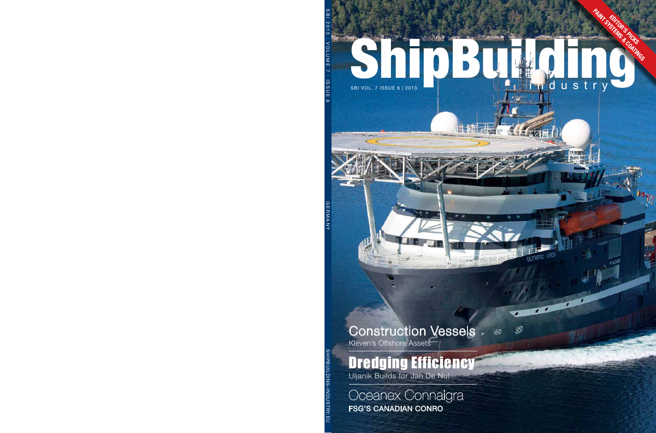# ShipBuilding Company of the Company of the Company of the Company of the Company of the Company of the Company of the Company of the Company of the Company of the Company of the Company of the Company of the Company of the  $\frac{1}{2}$  in the set of  $\frac{1}{2}$ EDITOR'S PICKS PAINT SYSTEMS & COATINGS SBI VOL. 7 ISSUE 6 | 2013 **in the state of the state of the state of the state of the state of the state of the state of the state of the state of the state of the state of the state of the state of the state of the state**

.Ø

Q

## Construction Vessels

Kleven's Offshore Assets

## Dredging Efficiency

Uljanik Builds for Jan De Nul

### Oceanex Connaigra FSG's Canadian Conro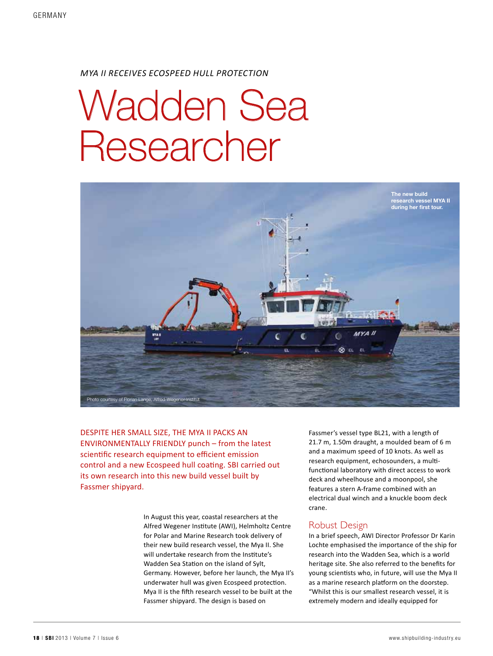#### *MYA II RECEIVES ECOSPEED HULL PROTECTION*

# Wadden Sea Researcher



Despite her small size, the Mya II packs an environmentally friendly punch – from the latest scientific research equipment to efficient emission control and a new Ecospeed hull coating. SBI carried out its own research into this new build vessel built by Fassmer shipyard.

> In August this year, coastal researchers at the Alfred Wegener Institute (AWI), Helmholtz Centre for Polar and Marine Research took delivery of their new build research vessel, the Mya II. She will undertake research from the Institute's Wadden Sea Station on the island of Sylt, Germany. However, before her launch, the Mya II's underwater hull was given Ecospeed protection. Mya II is the fifth research vessel to be built at the Fassmer shipyard. The design is based on

Fassmer's vessel type BL21, with a length of 21.7 m, 1.50m draught, a moulded beam of 6 m and a maximum speed of 10 knots. As well as research equipment, echosounders, a multifunctional laboratory with direct access to work deck and wheelhouse and a moonpool, she features a stern A-frame combined with an electrical dual winch and a knuckle boom deck crane.

#### Robust Design

In a brief speech, AWI Director Professor Dr Karin Lochte emphasised the importance of the ship for research into the Wadden Sea, which is a world heritage site. She also referred to the benefits for young scientists who, in future, will use the Mya II as a marine research platform on the doorstep. "Whilst this is our smallest research vessel, it is extremely modern and ideally equipped for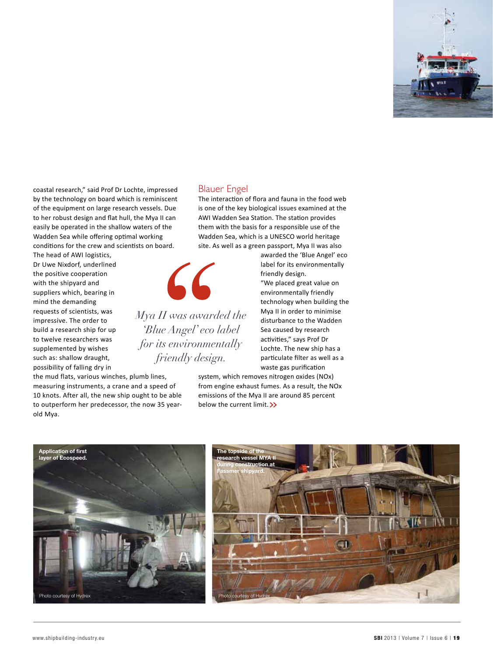

coastal research," said Prof Dr Lochte, impressed by the technology on board which is reminiscent of the equipment on large research vessels. Due to her robust design and flat hull, the Mya II can easily be operated in the shallow waters of the Wadden Sea while offering optimal working conditions for the crew and scientists on board.

The head of AWI logistics, Dr Uwe Nixdorf, underlined the positive cooperation with the shipyard and suppliers which, bearing in mind the demanding requests of scientists, was impressive. The order to build a research ship for up to twelve researchers was supplemented by wishes such as: shallow draught, possibility of falling dry in

the mud flats, various winches, plumb lines, measuring instruments, a crane and a speed of

10 knots. After all, the new ship ought to be able to outperform her predecessor, the now 35 yearold Mya.

#### Blauer Engel

The interaction of flora and fauna in the food web is one of the key biological issues examined at the AWI Wadden Sea Station. The station provides them with the basis for a responsible use of the Wadden Sea, which is a UNESCO world heritage site. As well as a green passport, Mya II was also



*Mya II was awarded the 'Blue Angel' eco label for its environmentally friendly design.*

awarded the 'Blue Angel' eco label for its environmentally friendly design. "We placed great value on environmentally friendly technology when building the Mya II in order to minimise disturbance to the Wadden Sea caused by research activities," says Prof Dr Lochte. The new ship has a particulate filter as well as a waste gas purification

ennssions of the wiya if are<br>below the current limit. >> system, which removes nitrogen oxides (NOx) from engine exhaust fumes. As a result, the NOx emissions of the Mya II are around 85 percent